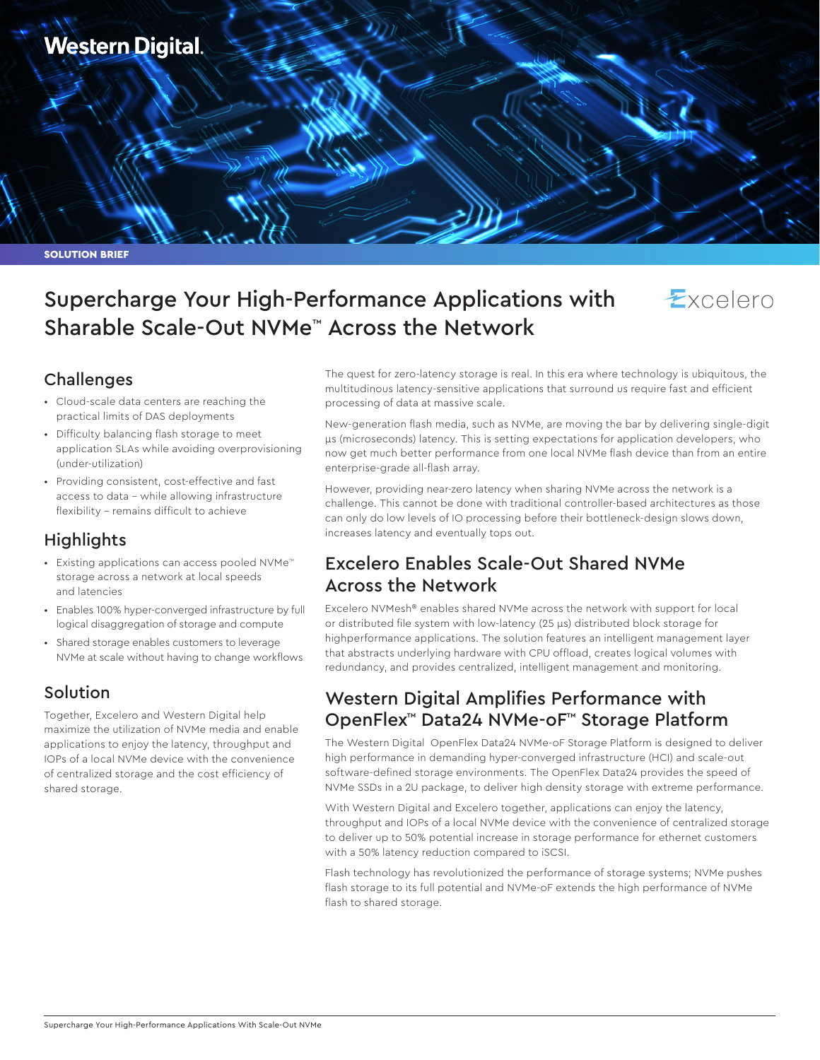

# Supercharge Your High-Performance Applications with Sharable Scale-Out NVMe™ Across the Network



## Challenges

- Cloud-scale data centers are reaching the practical limits of DAS deployments
- Difficulty balancing flash storage to meet application SLAs while avoiding overprovisioning (under-utilization)
- Providing consistent, cost-effective and fast access to data – while allowing infrastructure flexibility – remains difficult to achieve

## Highlights

- Existing applications can access pooled NVMe™ storage across a network at local speeds and latencies
- Enables 100% hyper-converged infrastructure by full logical disaggregation of storage and compute
- Shared storage enables customers to leverage NVMe at scale without having to change workflows

## Solution

Together, Excelero and Western Digital help maximize the utilization of NVMe media and enable applications to enjoy the latency, throughput and IOPs of a local NVMe device with the convenience of centralized storage and the cost efficiency of shared storage.

The quest for zero-latency storage is real. In this era where technology is ubiquitous, the multitudinous latency-sensitive applications that surround us require fast and efficient processing of data at massive scale.

New-generation flash media, such as NVMe, are moving the bar by delivering single-digit μs (microseconds) latency. This is setting expectations for application developers, who now get much better performance from one local NVMe flash device than from an entire enterprise-grade all-flash array.

However, providing near-zero latency when sharing NVMe across the network is a challenge. This cannot be done with traditional controller-based architectures as those can only do low levels of IO processing before their bottleneck-design slows down, increases latency and eventually tops out.

## Excelero Enables Scale-Out Shared NVMe Across the Network

Excelero NVMesh® enables shared NVMe across the network with support for local or distributed file system with low-latency (25 μs) distributed block storage for highperformance applications. The solution features an intelligent management layer that abstracts underlying hardware with CPU offload, creates logical volumes with redundancy, and provides centralized, intelligent management and monitoring.

## Western Digital Amplifies Performance with OpenFlex™ Data24 NVMe-oF™ Storage Platform

The Western Digital OpenFlex Data24 NVMe-oF Storage Platform is designed to deliver high performance in demanding hyper-converged infrastructure (HCI) and scale-out software-defined storage environments. The OpenFlex Data24 provides the speed of NVMe SSDs in a 2U package, to deliver high density storage with extreme performance.

With Western Digital and Excelero together, applications can enjoy the latency, throughput and IOPs of a local NVMe device with the convenience of centralized storage to deliver up to 50% potential increase in storage performance for ethernet customers with a 50% latency reduction compared to iSCSI.

Flash technology has revolutionized the performance of storage systems; NVMe pushes flash storage to its full potential and NVMe-oF extends the high performance of NVMe flash to shared storage.